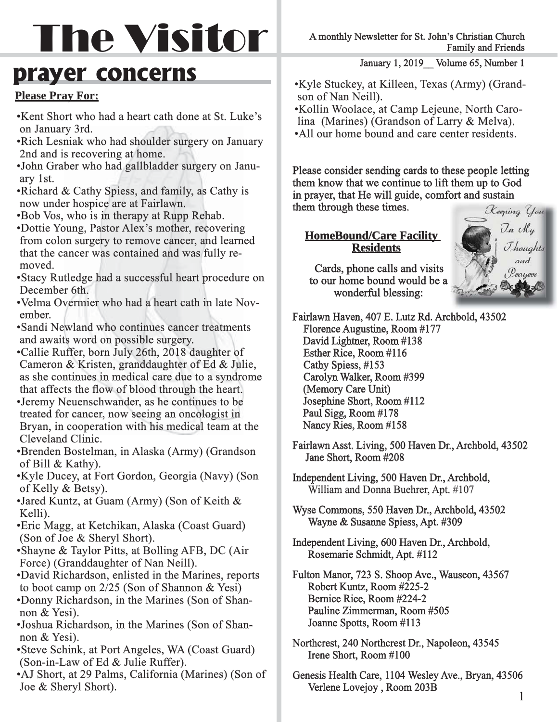# The Visitor

# **prayer concerns**

#### **Please Pray For:**

- Kent Short who had a heart cath done at St. Luke's on January 3rd.
- Rich Lesniak who had shoulder surgery on January 2nd and is recovering at home.
- John Graber who had gallbladder surgery on Janu- Janu ary 1st.
- Richard & Cathy Spiess, and family, as Cathy is now under hospice are at Fairlawn.
- Bob Vos, who is in therapy at Rupp Rehab.
- Dottie Young, Pastor Alex's mother, recovering from colon surgery to remove cancer, and learned that the cancer was contained and was fully removed.
- Stacy Rutledge had a successful heart procedure on December 6th.
- Velma Overmier who had a heart cath in late November.
- Sandi Newland who continues cancer treatments and awaits word on possible surgery.
- Callie Ruffer, born July 26th, 2018 daughter of Cameron & Kristen, granddaughter of Ed & Julie, as she continues in medical care due to a syndrome that affects the flow of blood through the heart. • Jeremy Neuenschwander, as he continues to be treated for cancer, now seeing an oncologist in Bryan, in cooperation with his medical team at the Cleveland Clinic.
- Brenden Bostelman, in Alaska (Army) (Grandson of Bill & Kathy).
- Kyle Ducey, at Fort Gordon, Georgia (Navy) (Son of Kelly & Betsy).
- Jared Kuntz, at Guam (Army) (Son of Keith & Kelli).
- Eric Magg, at Ketchikan, Alaska (Coast Guard) (Son of Joe & Sheryl Short).
- Shayne & Taylor Pitts, at Bolling AFB, DC (Air Force) (Granddaughter of Nan Neill).
- David Richardson, enlisted in the Marines, reports to boot camp on  $2/25$  (Son of Shannon & Yesi) • Donny Richardson, in the Marines (Son of Shannon & Yesi).
- Joshua Richardson, in the Marines (Son of Shan- (Son Shan non & Yesi).
- Steve Schink, at Port Angeles, WA (Coast Guard) (Son-in-Law of Ed & Julie Ruffer).
- AJ Short, at 29 Palms, California (Marines) (Son of Joe & Sheryl Short).

A monthly Newsletter for St. John's Christian Church Family and Friends

January 1, 2019 Volume 65, Number 1

• Kyle Stuckey, at Killeen, Texas (Army) (Grand- (Grand son of Nan Neill).

• Kollin Woolace, at Camp Lejeune, North Carolina (Marines) (Grandson of Larry & Melva). • All our home bound and care center residents.

Please consider sending cards to these people letting them know that we continue to lift them up to God in prayer, that He will guide, comfort and sustain them through these times.

#### **HomeBound/Care Facility Residents esidents**

 Cards, phone calls and visits to our home bound would be a wonderful blessing:



Fairlawn Haven, 407 E. Lutz Rd. Archbold, 43502 Florence Augustine, Room #177 David Lightner, Room #138 Esther Rice, Room #116 Cathy Spiess, #153 Carolyn Walker, Room #399 (Memory Care Unit) Josephine Short, Room #112 Paul Sigg, Room #178 Nancy Ries, Room #158

- Fairlawn Asst. Living, 500 Haven Dr., Archbold, 43502 Jane Short, Room #208
- Independent Living, 500 Haven Dr., Archbold, William and Donna Buehrer, Apt. #107
- Wyse Commons, 550 Haven Dr., Archbold, 43502 Wayne & Susanne Spiess, Apt. #309
- Independent Living, 600 Haven Dr., Archbold, Rosemarie Schmidt, Apt. #112
- Fulton Manor, 723 S. Shoop Ave., Wauseon, 43567 Robert Kuntz, Room #225-2 Bernice Rice, Room #224-2 Pauline Zimmerman, Room #505 Joanne Spotts, Room #113
- Northcrest, 240 Northcrest Dr., Napoleon, 43545 Irene Short, Room #100
- Genesis Health Care, 1104 Wesley Ave., Bryan, 43506 Verlene Lovejoy , Room 203B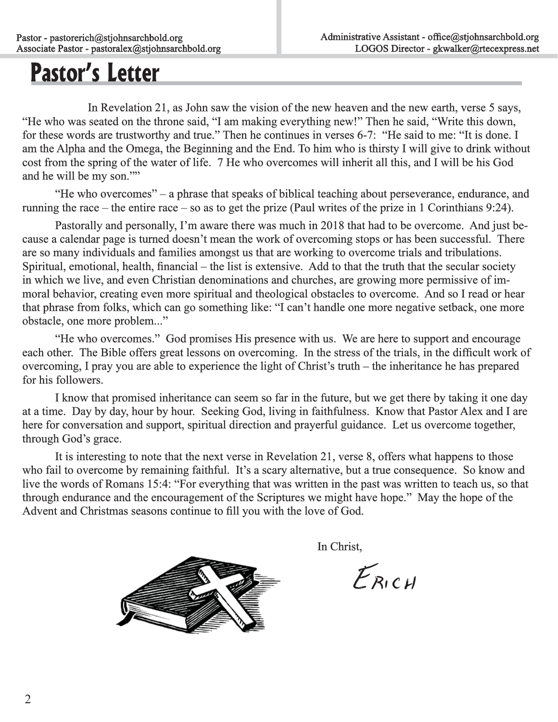# **Pastor's Letter**

In Revelation 21, as John saw the vision of the new heaven and the new earth, verse 5 says, "He who was seated on the throne said, "I am making everything new!" Then he said, "Write this down, for these words are trustworthy and true." Then he continues in verses 6-7: "He said to me: "It is done. I am the Alpha and the Omega, the Beginning and the End. To him who is thirsty I will give to drink without cost from the spring of the water of life. 7 He who overcomes will inherit all this, and I will be his God and he will be my son.""

 "He who overcomes" – a phrase that speaks of biblical teaching about perseverance, endurance, and running the race – the entire race – so as to get the prize (Paul writes of the prize in 1 Corinthians 9:24).

Pastorally and personally, I'm aware there was much in 2018 that had to be overcome. And just because a calendar page is turned doesn't mean the work of overcoming stops or has been successful. There are so many individuals and families amongst us that are working to overcome trials and tribulations. Spiritual, emotional, health, financial – the list is extensive. Add to that the truth that the secular society in which we live, and even Christian denominations and churches, are growing more permissive of immoral behavior, creating even more spiritual and theological obstacles to overcome. And so I read or hear that phrase from folks, which can go something like: "I can't handle one more negative setback, one more obstacle, one more problem..."

 "He who overcomes." God promises His presence with us. We are here to support and encourage each other. The Bible offers great lessons on overcoming. In the stress of the trials, in the difficult work of overcoming, I pray you are able to experience the light of Christ's truth – the inheritance he has prepared for his followers.

I know that promised inheritance can seem so far in the future, but we get there by taking it one day at a time. Day by day, hour by hour. Seeking God, living in faithfulness. Know that Pastor Alex and I are here for conversation and support, spiritual direction and prayerful guidance. Let us overcome together, through God's grace.

 It is interesting to note that the next verse in Revelation 21, verse 8, offers what happens to those who fail to overcome by remaining faithful. It's a scary alternative, but a true consequence. So know and live the words of Romans 15:4: "For everything that was written in the past was written to teach us, so that through endurance and the encouragement of the Scriptures we might have hope." May the hope of the Advent and Christmas seasons continue to fill you with the love of God.

In Christ,

 $E_{RICH}$ 

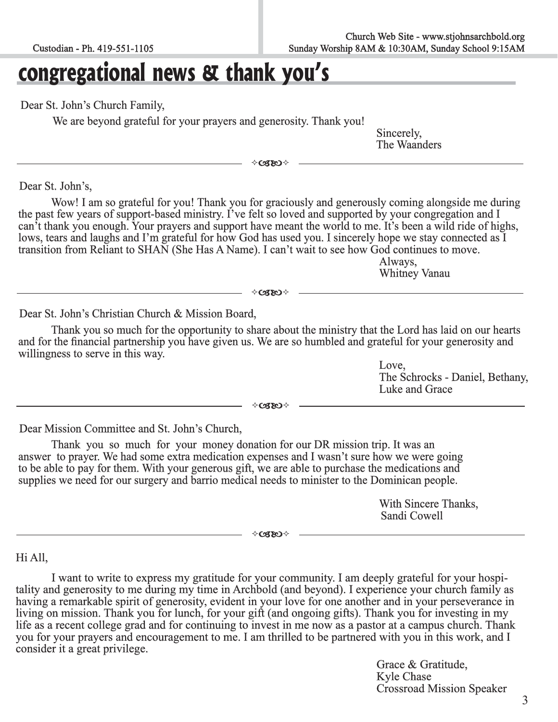# **congregational news & thank you's**

Dear St. John's Church Family,

We are beyond grateful for your prayers and generosity. Thank you!

Sincerely, Sincerely, Sincerely, The Waanders

 $\diamond$ CSEO  $\diamond$ 

Dear St. John's,

 Wow! I am so grateful for you! Thank you for graciously and generously coming alongside me during the past few years of support-based ministry. I've felt so loved and supported by your congregation and I can't thank you enough. Your prayers and support have meant the world to me. It's been a wild ride of highs, lows, tears and laughs and I'm grateful for how God has used you. I sincerely hope we stay connected as I transition from Reliant to SHAN (She Has A Name). I can't wait to see how God continues to move. Always,

Whitney Vanau

 $\diamond$ CZEO  $\diamond$ 

Dear St. John's Christian Church & Mission Board,

Thank you so much for the opportunity to share about the ministry that the Lord has laid on our hearts and for the financial partnership you have given us. We are so humbled and grateful for your generosity and willingness to serve in this way.

> Love, The Schrocks - Daniel, Bethany, Luke and Grace

 $\diamond$ czeo $\diamond$ 

Dear Mission Committee and St. John's Church,

Thank you so much for your money donation for our DR mission trip. It was an answer to prayer. We had some extra medication expenses and I wasn't sure how we were going to be able to pay for them. With your generous gift, we are able to purchase the medications and<br>supplies we need for our surgery and barrio medical needs to minister to the Dominican people.<br>With Sincere Thanks,<br>Sandi Cow

 $\diamond$ CSEO $\diamond$ 

#### Hi All,

I want to write to express my gratitude for your community. I am deeply grateful for your hospitality and generosity to me during my time in Archbold (and beyond). I experience your church family as having a remarkable spirit of generosity, evident in your love for one another and in your perseverance in living on mission. Thank you for lunch, for your gift (and ongoing gifts). Thank you for investing in my life as a recent college grad and for continuing to invest in me now as a pastor at a campus church. Thank you for your prayers and encouragement to me. I am thrilled to be partnered with you in this work, and I consider i

> Grace & Gratitude, Kyle Chase Crossroad Mission Speaker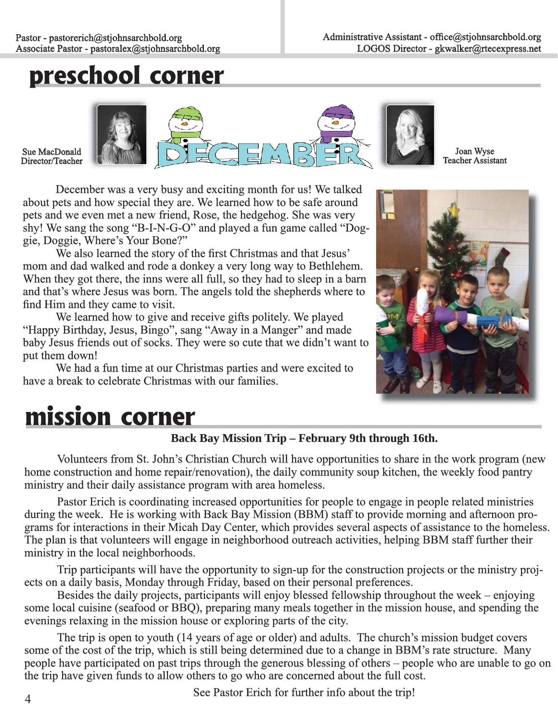# **preschool corner**

Sue MacDonald Director/Teacher



Joan Wyse Teacher Assistant

 December was a very busy and exciting month for us! We talked about pets and how special they are. We learned how to be safe around pets and we even met a new friend, Rose, the hedgehog. She was very shy! We sang the song "B-I-N-G-O" and played a fun game called "Doggie, Doggie, Where's Your Bone?"

We also learned the story of the first Christmas and that Jesus' mom and dad walked and rode a donkey a very long way to Bethlehem. When they got there, the inns were all full, so they had to sleep in a barn and that's where Jesus was born. The angels told the shepherds where to find Him and they came to visit.

 We learned how to give and receive gifts politely. We played "Happy Birthday, Jesus, Bingo", sang "Away in a Manger" and made baby Jesus friends out of socks. They were so cute that we didn't want to put them down!

 We had a fun time at our Christmas parties and were excited to have a break to celebrate Christmas with our families.



# **mission corner**

#### Back Bay Mission Trip – February 9th through 16th.

 Volunteers from St. John's Christian Church will have opportunities to share in the work program (new home construction and home repair/renovation), the daily community soup kitchen, the weekly food pantry ministry and their daily assistance program with area homeless.

Pastor Erich is coordinating increased opportunities for people to engage in people related ministries during the week. He is working with Back Bay Mission (BBM) staff to provide morning and afternoon programs for interactions in their Micah Day Center, which provides several aspects of assistance to the homeless. The plan is that volunteers will engage in neighborhood outreach activities, helping BBM staff further their ministry in the local neighborhoods.

Trip participants will have the opportunity to sign-up for the construction projects or the ministry projects on a daily basis, Monday through Friday, based on their personal preferences.

 Besides the daily projects, participants will enjoy blessed fellowship throughout the week – enjoying some local cuisine (seafood or BBQ), preparing many meals together in the mission house, and spending the evenings relaxing in the mission house or exploring parts of the city.

 The trip is open to youth (14 years of age or older) and adults. The church's mission budget covers some of the cost of the trip, which is still being determined due to a change in BBM's rate structure. Many people have participated on past trips through the generous blessing of others – people who are unable to go on the trip have given funds to allow others to go who are concerned about the full cost.

See Pastor Erich for further info about the trip!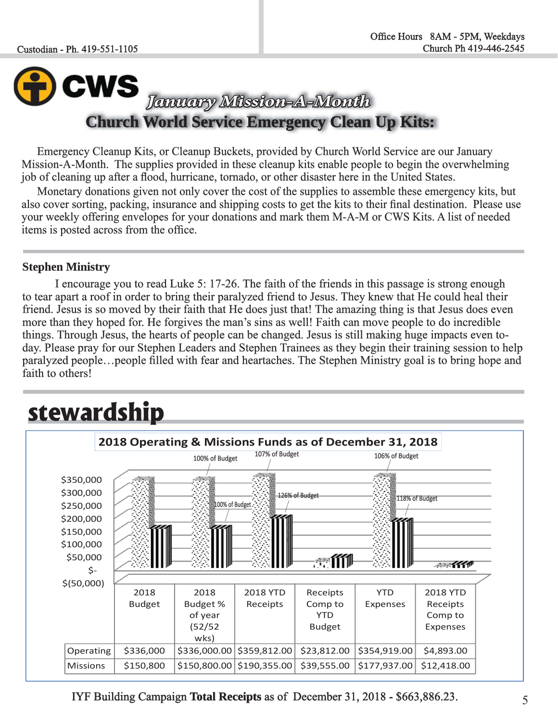### **WS** *January Mission-A-Month anuary Mission-A-Month*  **Church World Service Emergency Clean Up Kits:**

Emergency Cleanup Kits, or Cleanup Buckets, provided by Church World Service are our January Mission-A-Month. The supplies provided in these cleanup kits enable people to begin the overwhelming job of cleaning up after a flood, hurricane, tornado, or other disaster here in the United States.

Monetary donations given not only cover the cost of the supplies to assemble these emergency kits, but also cover sorting, packing, insurance and shipping costs to get the kits to their final destination. Please use your weekly offering envelopes for your donations and mark them M-A-M or CWS Kits. A list of needed items is posted across from the office.

#### **Stephen Ministry**

 I encourage you to read Luke 5: 17-26. The faith of the friends in this passage is strong enough to tear apart a roof in order to bring their paralyzed friend to Jesus. They knew that He could heal their friend. Jesus is so moved by their faith that He does just that! The amazing thing is that Jesus does even more than they hoped for. He forgives the man's sins as well! Faith can move people to do incredible things. Through Jesus, the hearts of people can be changed. Jesus is still making huge impacts even today. Please pray for our Stephen Leaders and Stephen Trainees as they begin their training session to help paralyzed people...people filled with fear and heartaches. The Stephen Ministry goal is to bring hope and faith to others!

### **stewardship**



IYF Building Campaign **Total Receipts** as of December 31, 2018 - \$663,886.23.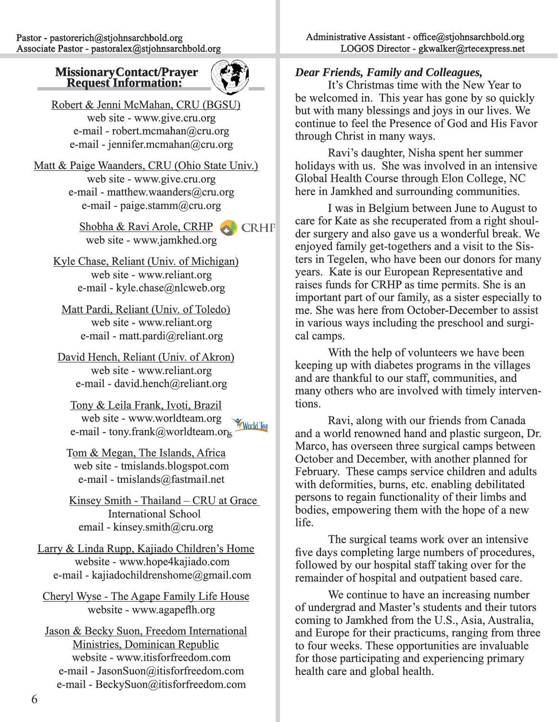### **Missionary Contact/Prayer Request Information:**



Robert & Jenni McMahan, CRU (BGSU) web site - www.give.cru.org e-mail - robert.mcmahan@cru.org e-mail - jennifer.mcmahan@cru.org

Matt & Paige Waanders, CRU (Ohio State Univ.) web site - www.give.cru.org e-mail - matthew.waanders@cru.org e-mail - paige.stamm@cru.org

> Shobha & Ravi Arole, CRHP **Ravid Arabs** CRHP web site - www.jamkhed.org

Kyle Chase, Reliant (Univ. of Michigan) web site - www.reliant.org e-mail - kyle.chase@nlcweb.org

Matt Pardi, Reliant (Univ. of Toledo) web site - www.reliant.org e-mail - matt.pardi@reliant.org

David Hench, Reliant (Univ. of Akron) web site - www.reliant.org e-mail - david.hench@reliant.org

Tony & Leila Frank, Ivoti, Brazil web site - www.worldteam.org **World Tea** e-mail - tony.frank@worldteam.org

Tom & Megan, The Islands, Africa web site - tmislands.blogspot.com e-mail - tmislands@fastmail.net

Kinsey Smith - Thailand – CRU at Grace **International School** email - kinsey.smith@cru.org

Larry & Linda Rupp, Kajiado Children's Home website - www.hope4kajiado.com e-mail - kajiadochildrenshome@gmail.com

Cheryl Wyse - The Agape Family Life House website - www.agapeflh.org

Jason & Becky Suon, Freedom International Ministries, Dominican Republic website - www.itisforfreedom.com e-mail - JasonSuon@itisforfreedom.com e-mail - BeckySuon@itisforfreedom.com

#### *Dear Friends, Family and Colleagues,*

 It's Christmas time with the New Year to be welcomed in. This year has gone by so quickly but with many blessings and joys in our lives. We continue to feel the Presence of God and His Favor through Christ in many ways.

 Ravi's daughter, Nisha spent her summer holidays with us. She was involved in an intensive Global Health Course through Elon College, NC here in Jamkhed and surrounding communities.

 I was in Belgium between June to August to care for Kate as she recuperated from a right shoulder surgery and also gave us a wonderful break. We enjoyed family get-togethers and a visit to the Sisters in Tegelen, who have been our donors for many years. Kate is our European Representative and raises funds for CRHP as time permits. She is an important part of our family, as a sister especially to me. She was here from October-December to assist in various ways including the preschool and surgical camps.

With the help of volunteers we have been keeping up with diabetes programs in the villages and are thankful to our staff, communities, and many others who are involved with timely interventions.

 Ravi, along with our friends from Canada and a world renowned hand and plastic surgeon, Dr. Marco, has overseen three surgical camps between October and December, with another planned for February. These camps service children and adults with deformities, burns, etc. enabling debilitated persons to regain functionality of their limbs and bodies, empowering them with the hope of a new life.

 The surgical teams work over an intensive five days completing large numbers of procedures, followed by our hospital staff taking over for the remainder of hospital and outpatient based care.

 We continue to have an increasing number of undergrad and Master's students and their tutors f coming to Jamkhed from the U.S., Asia, Australia, and Europe for their practicums, ranging from three to four weeks. These opportunities are invaluable for those participating and experiencing primary health care and global health.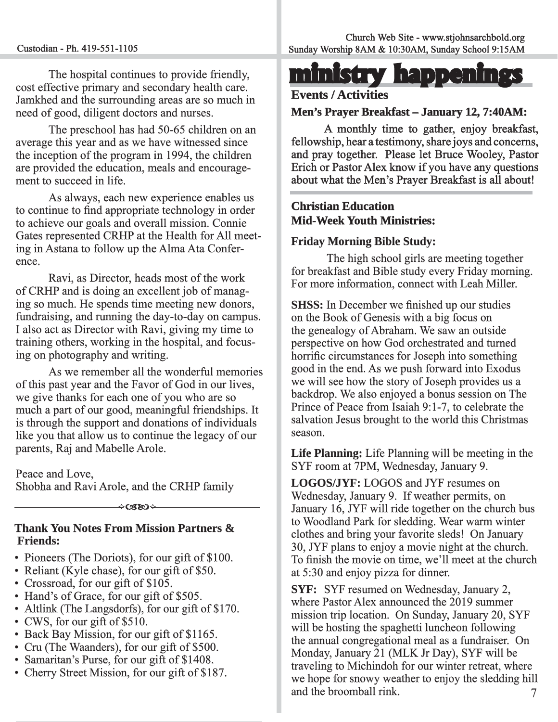The hospital continues to provide friendly, cost effective primary and secondary health care. Jamkhed and the surrounding areas are so much in need of good, diligent doctors and nurses.

 The preschool has had 50-65 children on an average this year and as we have witnessed since the inception of the program in 1994, the children are provided the education, meals and encouragement to succeed in life.

 As always, each new experience enables us to continue to find appropriate technology in order to achieve our goals and overall mission. Connie Gates represented CRHP at the Health for All meeting in Astana to follow up the Alma Ata Conference.

 Ravi, as Director, heads most of the work of CRHP and is doing an excellent job of managing so much. He spends time meeting new donors, fundraising, and running the day-to-day on campus. I also act as Director with Ravi, giving my time to training others, working in the hospital, and focusing on photography and writing.

As we remember all the wonderful memories of this past year and the Favor of God in our lives, f we give thanks for each one of you who are so much a part of our good, meaningful friendships. It is through the support and donations of individuals like you that allow us to continue the legacy of our parents, Raj and Mabelle Arole.

#### Peace and Love,

Shobha and Ravi Arole, and the CRHP family

ශත

#### **Thank You Notes From Mission Partners & Friends:**

- Pioneers (The Doriots), for our gift of \$100.
- Reliant (Kyle chase), for our gift of \$50.
- Crossroad, for our gift of \$105.
- Hand's of Grace, for our gift of \$505.
- Altlink (The Langsdorfs), for our gift of  $$170$ .
- CWS, for our gift of  $$510$ .
- Back Bay Mission, for our gift of \$1165.
- Back Bay Mission, for our gift of  $$1103$ .  $\bullet$  Cru (The Waanders), for our gift of \$500.
- Samaritan's Purse, for our gift of \$1408.
- Cherry Street Mission, for our gift of \$187.

# **ministry happenings inistry**

#### **Events / Activities**

#### **Men's Prayer Breakfast – January 12, 7:40AM:**

A monthly time to gather, enjoy breakfast, fellowship, hear a testimony, share joys and concerns, and pray together. Please let Bruce Wooley, Pastor Erich or Pastor Alex know if you have any questions about what the Men's Prayer Breakfast is all about!

#### **Christian Education hristian Mid-Week Youth Ministries:**

#### **Friday Morning Bible Study:**

 The high school girls are meeting together for breakfast and Bible study every Friday morning. For more information, connect with Leah Miller.

**SHSS:** In December we finished up our studies on the Book of Genesis with a big focus on the genealogy of Abraham. We saw an outside perspective on how God orchestrated and turned horrific circumstances for Joseph into something good in the end. As we push forward into Exodus we will see how the story of Joseph provides us a backdrop. We also enjoyed a bonus session on The Prince of Peace from Isaiah 9:1-7, to celebrate the salvation Jesus brought to the world this Christmas season.

**Life Planning:** Life Planning will be meeting in the SYF room at 7PM, Wednesday, January 9.

**LOGOS/JYF:** LOGOS and JYF resumes on Wednesday, January 9. If weather permits, on January 16, JYF will ride together on the church bus to Woodland Park for sledding. Wear warm winter clothes and bring your favorite sleds! On January 30, JYF plans to enjoy a movie night at the church. To finish the movie on time, we'll meet at the church at 5:30 and enjoy pizza for dinner.

7 **SYF:** SYF resumed on Wednesday, January 2, where Pastor Alex announced the 2019 summer mission trip location. On Sunday, January 20, SYF will be hosting the spaghetti luncheon following the annual congregational meal as a fundraiser. On Monday, January 21 (MLK Jr Day), SYF will be traveling to Michindoh for our winter retreat, where we hope for snowy weather to enjoy the sledding hill and the broomball rink.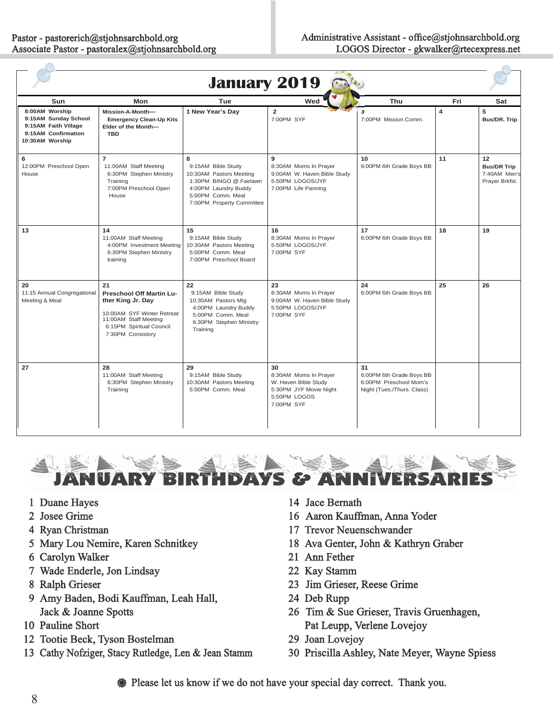| 340<br><b>January 2019</b>                                                                               |                                                                                                                                                                    |                                                                                                                                                         |                                                                                                             |                                                                                        |     |                                                            |
|----------------------------------------------------------------------------------------------------------|--------------------------------------------------------------------------------------------------------------------------------------------------------------------|---------------------------------------------------------------------------------------------------------------------------------------------------------|-------------------------------------------------------------------------------------------------------------|----------------------------------------------------------------------------------------|-----|------------------------------------------------------------|
| Sun                                                                                                      | Mon                                                                                                                                                                | Tue                                                                                                                                                     | Wed                                                                                                         | Thu                                                                                    | Fri | Sat                                                        |
| 8:00AM Worship<br>9:15AM Sunday School<br>9:15AM Faith Village<br>9:15AM Confirmation<br>10:30AM Worship | Mission-A-Month-<br><b>Emergency Clean-Up Kits</b><br>Elder of the Month-<br><b>TBD</b>                                                                            | 1 New Year's Day                                                                                                                                        | $\overline{2}$<br>7:00PM SYF                                                                                | 3<br>7:00PM Mission Comm.                                                              | 4   | 5<br>Bus/DR. Trip                                          |
| 6<br>12:00PM Preschool Open<br>House                                                                     | $\overline{7}$<br>11:00AM Staff Meeting<br>6:30PM Stephen Ministry<br>Training<br>7:00PM Preschool Open<br>House                                                   | 8<br>9:15AM Bible Study<br>10:30AM Pastors Meeting<br>1:30PM BINGO @ Fairlawn<br>4:00PM Laundry Buddy<br>5:00PM Comm. Meal<br>7:00PM Property Committee | 9<br>8:30AM Moms In Prayer<br>9:00AM W. Haven Bible Study<br>5:50PM LOGOS/JYF<br>7:00PM Life Panning        | 10<br>6:00PM 6th Grade Boys BB                                                         | 11  | 12<br><b>Bus/DR Trip</b><br>7:40AM Men's<br>Prayer Brkfst. |
| 13                                                                                                       | 14<br>11:00AM Staff Meeting<br>4:00PM Investment Meeting<br>6:30PM Stephen Ministry<br>training                                                                    | 15<br>9:15AM Bible Study<br>10:30AM Pastors Meeting<br>5:00PM Comm. Meal<br>7:00PM Preschool Board                                                      | 16<br>8:30AM Moms In Prayer<br>5:50PM LOGOS/JYF<br>7:00PM SYF                                               | 17<br>6:00PM 6th Grade Boys BB                                                         | 18  | 19                                                         |
| 20<br>11:15 Annual Congregational<br>Meeting & Meal                                                      | 21<br><b>Preschool Off Martin Lu-</b><br>ther King Jr. Day<br>10:00AM SYF Winter Retreat<br>11:00AM Staff Meeting<br>6:15PM Spiritual Council<br>7:30PM Consistory | 22<br>9:15AM Bible Study<br>10:30AM Pastors Mtg<br>4:00PM Laundry Buddy<br>5:00PM Comm. Meal<br>6:30PM Stephen Ministry<br>Training                     | 23<br>8:30AM Moms In Prayer<br>9:00AM W. Haven Bible Study<br>5:50PM LOGOS/JYF<br>7:00PM SYF                | 24<br>6:00PM 6th Grade Boys BB                                                         | 25  | 26                                                         |
| 27                                                                                                       | 28<br>11:00AM Staff Meeting<br>6:30PM Stephen Ministry<br>Training                                                                                                 | 29<br>9:15AM Bible Study<br>10:30AM Pastors Meeting<br>5:00PM Comm. Meal                                                                                | 30<br>8:30AM Moms In Prayer<br>W. Haven Bible Study<br>5:30PM JYF Movie Night<br>5:50PM LOGOS<br>7:00PM SYF | 31<br>6:00PM 6th Grade Boys BB<br>6:00PM Preschool Mom's<br>Night (Tues./Thurs. Class) |     |                                                            |



- 1 Duane Hayes
- 2 Josee Grime
- 4 Ryan Christman
- 5 Mary Lou Nemire, Karen Schnitkey
- 6 Carolyn Walker
- 7 Wade Enderle, Jon Lindsay
- 8 Ralph Grieser
- 9 Amy Baden, Bodi Kauffman, Leah Hall, Jack & Joanne Spotts
- 10 Pauline Short
- 12 Tootie Beck, Tyson Bostelman 2
- 13 Cathy Nofziger, Stacy Rutledge, Len & Jean Stamm
- 14 Jace Bernath
- 16 Aaron Kauffman, Anna Yoder 6
- 17 Trevor Neuenschwander
- 18 Ava Genter, John & Kathryn Graber 8
- 21 Ann Fether
- 22 Kay Stamm
- 23 Jim Grieser, Reese Grime
- 24 Deb Rupp
- 26 Tim & Sue Grieser, Travis Gruenhagen, 6 Pat Leupp, Verlene Lovejoy
- 29 Joan Lovejoy
- 30 Priscilla Ashley, Nate Meyer, Wayne Spiess 0

**We Please let us know if we do not have your special day correct. Thank you.**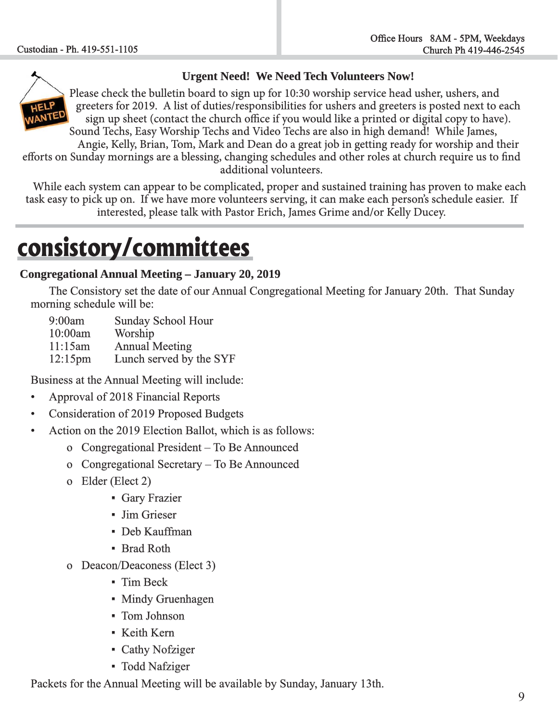

#### **Urgent Need! We Need Tech Volunteers Now!**

Please check the bulletin board to sign up for 10:30 worship service head usher, ushers, and greeters for 2019. A list of duties/responsibilities for ushers and greeters is posted next to each sign up sheet (contact the church office if you would like a printed or digital copy to have). Sound Techs, Easy Worship Techs and Video Techs are also in high demand! While James,

Angie, Kelly, Brian, Tom, Mark and Dean do a great job in getting ready for worship and their efforts on Sunday mornings are a blessing, changing schedules and other roles at church require us to find additional volunteers.

 While each system can appear to be complicated, proper and sustained training has proven to make each task easy to pick up on. If we have more volunteers serving, it can make each person's schedule easier. If interested, please talk with Pastor Erich, James Grime and/or Kelly Ducey.

# **consistory/committees**

#### **Congregational Annual Meeting – January 20, 2019 ongregational**

The Consistory set the date of our Annual Congregational Meeting for January 20th. That Sunday morning schedule will be:

9:00am Sunday School Hour

10:00am Worship Worship

 $11:15$ am Annual Meeting

12:15pm Lunch served by the SYF

Business at the Annual Meeting will include:

- Approval of 2018 Financial Reports
- Consideration of 2019 Proposed Budgets
- Action on the 2019 Election Ballot, which is as follows:
	- o Congregational President To Be Announced
	- o Congregational Secretary  $-$  To Be Announced
	- o Elder (Elect 2)
		- **Gary Frazier**
		- **Jim Grieser**
		- **Deb Kauffman**
		- **Example Brad Roth**
	- o Deacon/Deaconess (Elect 3) 3)
		- $\blacksquare$  Tim Beck
		- Mindy Gruenhagen
		- Tom Johnson
		- **EXERNIFIELD** Kern
		- Cathy Nofziger
		- Todd Nafziger

Packets for the Annual Meeting will be available by Sunday, January 13th.